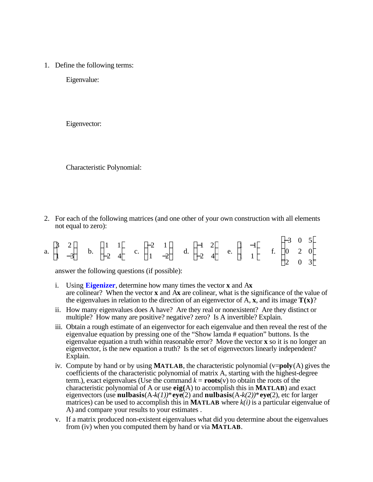1. Define the following terms:

Eigenvalue:

Eigenvector:

Characteristic Polynomial:

2. For each of the following matrices (and one other of your own construction with all elements not equal to zero):

|  |  | a. $\begin{array}{ccccccccc}\n & 3 & 2 & & 1 & 1 & & -2 & 1 & & 4 & 2 & 1 & -3 & 0 & 5 \\  & 1 & -3 & & 2 & 4 & & 1 & -2 & & 0 & -2 & 4 & & 1 & 1 & & 1 & & 2 & 0\n\end{array}$ |  |  |  |  |  |  |  |  |  |  |  |
|--|--|---------------------------------------------------------------------------------------------------------------------------------------------------------------------------------|--|--|--|--|--|--|--|--|--|--|--|
|  |  |                                                                                                                                                                                 |  |  |  |  |  |  |  |  |  |  |  |

answer the following questions (if possible):

- i. Using **[Eigenizer](http://personal.bgsu.edu/~meel/Tools/Eigenizer.html)**, determine how many times the vector **x** and A**x** are colinear? When the vector **x** and A**x** are colinear, what is the significance of the value of the eigenvalues in relation to the direction of an eigenvector of  $A$ ,  $\bf{x}$ , and its image  $\bf{T}(\bf{x})$ ?
- ii. How many eigenvalues does A have? Are they real or nonexistent? Are they distinct or multiple? How many are positive? negative? zero? Is A invertible? Explain.
- iii. Obtain a rough estimate of an eigenvector for each eigenvalue and then reveal the rest of the eigenvalue equation by pressing one of the "Show lamda # equation" buttons. Is the eigenvalue equation a truth within reasonable error? Move the vector **x** so it is no longer an eigenvector, is the new equation a truth? Is the set of eigenvectors linearly independent? Explain.
- iv. Compute by hand or by using **MATLAB**, the characteristic polynomial (v=**poly**(A) gives the coefficients of the characteristic polynomial of matrix A, starting with the highest-degree term.), exact eigenvalues (Use the command  $k = \text{roots}(v)$  to obtain the roots of the characteristic polynomial of A or use **eig(**A) to accomplish this in **MATLAB**) and exact eigenvectors (use **nulbasis**(A-*k(1))*\***eye**(2) and **nulbasis**(A-*k(2))*\***eye**(2), etc for larger matrices) can be used to accomplish this in **MATLAB** where  $k(i)$  is a particular eigenvalue of A) and compare your results to your estimates .
- v. If a matrix produced non-existent eigenvalues what did you determine about the eigenvalues from (iv) when you computed them by hand or via **MATLAB**.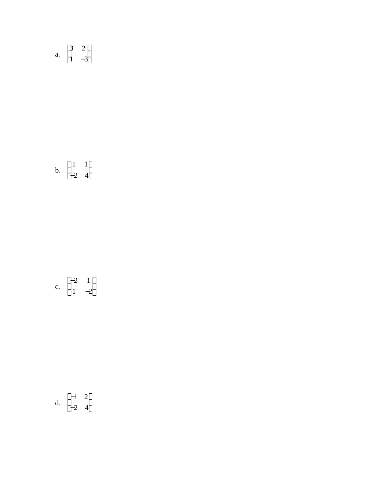a.  $\begin{array}{ccc} & 3 & 2 \\ 1 & -3 \end{array}$ 

$$
b. \quad \begin{array}{c} 1 & 1 \\ -2 & 4 \end{array}
$$

c. 
$$
\begin{bmatrix} -2 & 1 \\ 1 & -2 \end{bmatrix}
$$

$$
d. \quad \begin{array}{c} \n4 & 2 \\
-2 & 4\n\end{array}
$$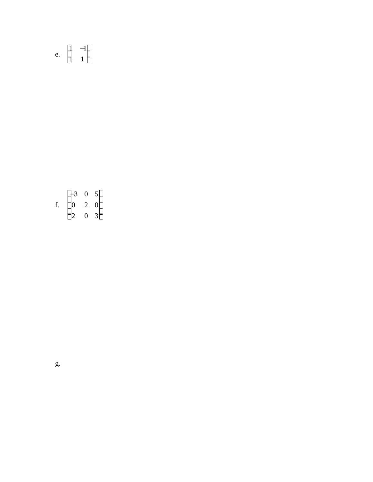## e.  $\begin{array}{cc} 1 & -1 \\ 1 & 1 \end{array}$

 $-3$  0 5<br>f. 0 2 0<br>2 0 3

g.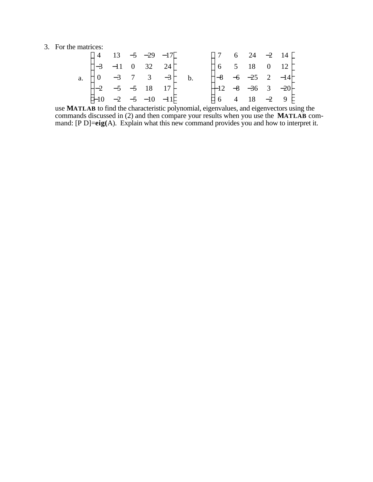## 3. For the matrices:

|             |  | 4 13 $-5$ $-29$ $-17$       |                |  | 7 6 24 $-2$ 14           |  |  |
|-------------|--|-----------------------------|----------------|--|--------------------------|--|--|
|             |  | $-3$ $-11$ 0 32 24          |                |  | 6 5 18 0 12              |  |  |
| $a_{\cdot}$ |  | $0 \t -3 \t 7 \t 3 \t -3$   | $\mathbf{b}$ . |  | $-8$ $-6$ $-25$ 2 $-14$  |  |  |
|             |  | $-2$ $-5$ $-5$ 18 17        |                |  | $-12$ $-8$ $-36$ 3 $-20$ |  |  |
|             |  | $-10$ $-2$ $-5$ $-10$ $-11$ |                |  | 6 4 18 $-2$ 9            |  |  |

use **MATLAB** to find the characteristic polynomial, eigenvalues, and eigenvectors using the commands discussed in (2) and then compare your results when you use the **MATLAB** command: [P D]=eig(A). Explain what this new command provides you and how to interpret it.